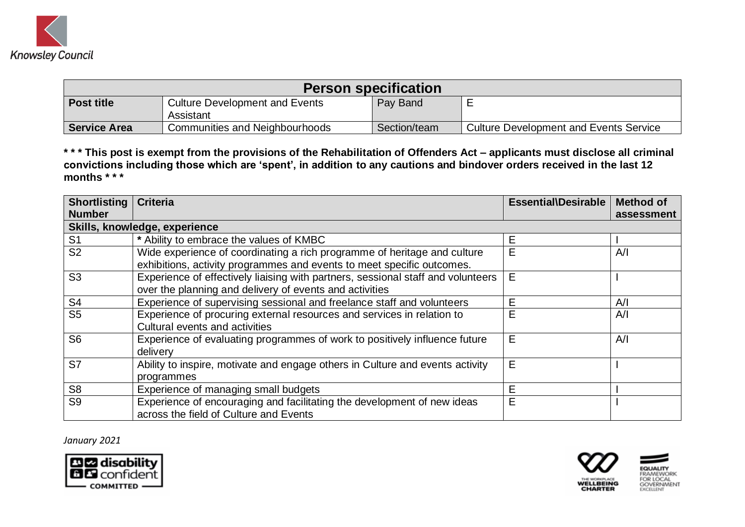

| <b>Person specification</b> |                                                    |              |                                               |
|-----------------------------|----------------------------------------------------|--------------|-----------------------------------------------|
| <b>Post title</b>           | <b>Culture Development and Events</b><br>Assistant | Pay Band     |                                               |
| <b>Service Area</b>         | Communities and Neighbourhoods                     | Section/team | <b>Culture Development and Events Service</b> |

**\* \* \* This post is exempt from the provisions of the Rehabilitation of Offenders Act – applicants must disclose all criminal convictions including those which are 'spent', in addition to any cautions and bindover orders received in the last 12 months \* \* \*** 

| Shortlisting   | <b>Criteria</b>                                                                  | Essential\Desirable | <b>Method of</b> |
|----------------|----------------------------------------------------------------------------------|---------------------|------------------|
| <b>Number</b>  |                                                                                  |                     | assessment       |
|                | Skills, knowledge, experience                                                    |                     |                  |
| S <sub>1</sub> | * Ability to embrace the values of KMBC                                          | Е                   |                  |
| S <sub>2</sub> | Wide experience of coordinating a rich programme of heritage and culture         | E                   | A/I              |
|                | exhibitions, activity programmes and events to meet specific outcomes.           |                     |                  |
| S <sub>3</sub> | Experience of effectively liaising with partners, sessional staff and volunteers | E                   |                  |
|                | over the planning and delivery of events and activities                          |                     |                  |
| S <sub>4</sub> | Experience of supervising sessional and freelance staff and volunteers           | E                   | A/I              |
| S <sub>5</sub> | Experience of procuring external resources and services in relation to           | E                   | A/I              |
|                | Cultural events and activities                                                   |                     |                  |
| S <sub>6</sub> | Experience of evaluating programmes of work to positively influence future       | E                   | A/I              |
|                | delivery                                                                         |                     |                  |
| S7             | Ability to inspire, motivate and engage others in Culture and events activity    | E                   |                  |
|                | programmes                                                                       |                     |                  |
| S <sub>8</sub> | Experience of managing small budgets                                             | E                   |                  |
| S <sub>9</sub> | Experience of encouraging and facilitating the development of new ideas          | E                   |                  |
|                | across the field of Culture and Events                                           |                     |                  |

*January 2021*



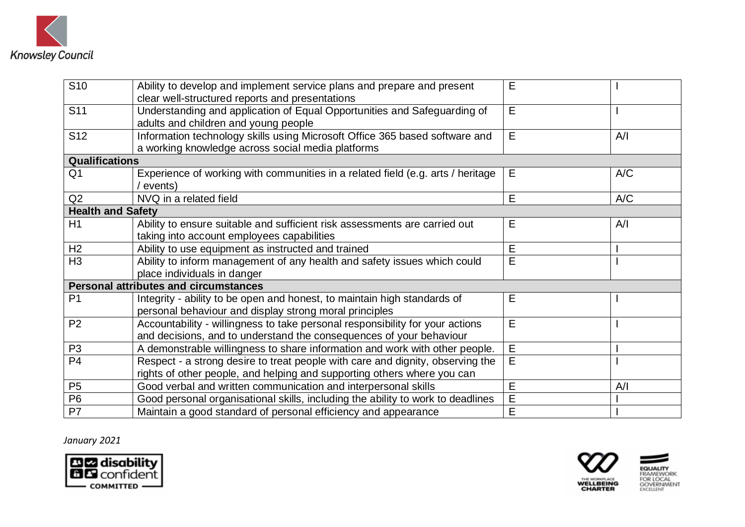

| S <sub>10</sub>          | Ability to develop and implement service plans and prepare and present<br>clear well-structured reports and presentations                                 | Е              |     |
|--------------------------|-----------------------------------------------------------------------------------------------------------------------------------------------------------|----------------|-----|
| S <sub>11</sub>          | E<br>Understanding and application of Equal Opportunities and Safeguarding of<br>adults and children and young people                                     |                |     |
| S <sub>12</sub>          | Information technology skills using Microsoft Office 365 based software and<br>a working knowledge across social media platforms                          | E              | A/I |
| <b>Qualifications</b>    |                                                                                                                                                           |                |     |
| Q <sub>1</sub>           | Experience of working with communities in a related field (e.g. arts / heritage<br>events)                                                                | Е              | A/C |
| Q2                       | NVQ in a related field                                                                                                                                    | E              | A/C |
| <b>Health and Safety</b> |                                                                                                                                                           |                |     |
| H1                       | Ability to ensure suitable and sufficient risk assessments are carried out<br>taking into account employees capabilities                                  | E              | A/I |
| H2                       | Ability to use equipment as instructed and trained                                                                                                        | E              |     |
| H <sub>3</sub>           | Ability to inform management of any health and safety issues which could<br>place individuals in danger                                                   | E              |     |
|                          | <b>Personal attributes and circumstances</b>                                                                                                              |                |     |
| P <sub>1</sub>           | Integrity - ability to be open and honest, to maintain high standards of<br>personal behaviour and display strong moral principles                        | E              |     |
| P <sub>2</sub>           | Accountability - willingness to take personal responsibility for your actions<br>and decisions, and to understand the consequences of your behaviour      | E              |     |
| P <sub>3</sub>           | A demonstrable willingness to share information and work with other people.                                                                               | E              |     |
| P <sub>4</sub>           | Respect - a strong desire to treat people with care and dignity, observing the<br>rights of other people, and helping and supporting others where you can | $\overline{E}$ |     |
| P <sub>5</sub>           | Good verbal and written communication and interpersonal skills                                                                                            | E              | A/I |
| P <sub>6</sub>           | Good personal organisational skills, including the ability to work to deadlines                                                                           | E              |     |
| P7                       | Maintain a good standard of personal efficiency and appearance                                                                                            | E              |     |

## *January 2021*